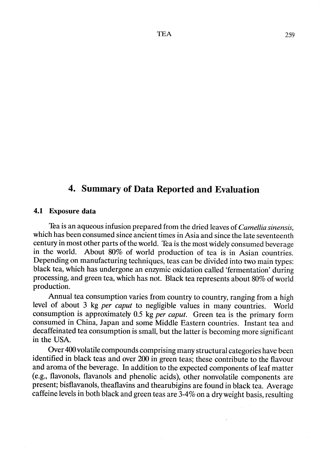# 4. Summary of Data Reported and Evaluation

# 4.1 Exposure data

Tea is an aqueous infusion prepared from the dried leaves of *Camellia sinensis*, which has been consumed since ancient times in Asia and since the late seventeenth century in most other parts of the world. Tea is the most widely consumed beverage in the world. About 80% of world production of tea is in Asian countries. Depending on manufacturing techniques, teas can be divided into two main types: black tea, which has undergone an enzymic oxidation called 'fermentation' during processing, and green tea, which has not. Black tea represents about 80% of world production.

Annual tea consumption varies from country to country, ranging from a high level of about 3 kg per caput to negligible values in many countries. World consumption is approximately 0.5 kg per caput. Green tea is the primary form consumed in China, Japan and some Middle Eastern countries. Instant tea and decaffeinated tea consumption is small, but the latter is becoming more significant in the USA.

Over 400 volatile compounds comprising many structural categories have been identified in black teas and over 200 in green teas; these contribute to the flavour and aroma of the beverage. In addition to the expected components of leaf matter (e.g., flavonols, flavanols and phenolic acids), other nonvolatile components are present; bisflavanols, theaflavins and thearubigins are found in black tea. Average caffeine levels in both black and green teas are 3-4% on a dry weight basis, resulting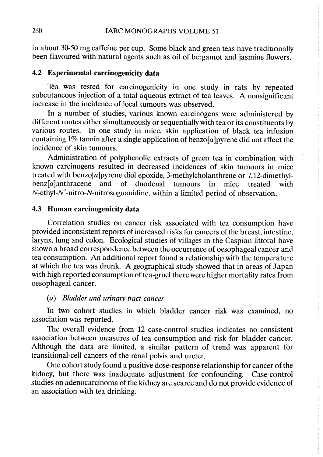in about 30-50 mg caffeine per cup. Some black and green teas have traditionally been flavoured with natural agents such as oil of bergamot and jasmine flowers.

#### 4.2 Experimental carcinogenicity data

Tea was tested for carcinogenicity in one study in rats by repeated subcutaneous injection of a total aqueous extract of tea leaves. A nonsignificant increase in the incidence of local tumours was observed.

ln a number of studies, various known carcinogens were administered by different routes either simultaneously or sequentially with tea or its constituents by various routes. ln one study in mice, skin application of black tea infusion containing 1% tannin after a single application of benzo[a] pyrene did not affect the incidence of skin tumours.

Administration of polyphenolic extracts of green tea in combination with known carcinogens resulted in decreased incidences of skin tumours in mice treated with benzo $[a]$ pyrene diol epoxide, 3-methylcholanthrene or 7,12-dimethyl-<br>benz $[a]$ anthracene and of duodenal tumours in mice treated with of duodenal tumours in mice treated with N-ethyl-N'-nitro-N-nitrosoguanidine, within a limited period of observation.

#### 4.3 Human carcinogenicity data

Correlation studies on cancer risk associated with tea consumption have provided inconsistent reports of increased risks for cancers of the breast, intestine, larynx, lung and colon. Ecological studies of vilages in the Caspian littoral have shown a broad correspondence between the occurrence of oesophageal cancer and tea consumption. An additional report found a relationship with the temperature at which the tea was drunk. A geographical study showed that in areas of Japan with high reported consumption of tea-gruel there were higher mortality rates from oesophageal cancer.

#### (a) Bladder and urinary tract cancer

ln two cohort studies in which bladder cancer risk was examined, no association was reported.

The overall evidence from 12 case-control studies indicates no consistent association between measures of tea consumption and risk for bladder cancer. Although the data are limited, a similar pattern of trend was apparent for transitional-cell cancers of the renal pelvis and ureter.

One cohort study found a positive dose-response relationship for cancer of the kidney, but there was inadequate adjustment for confounding. Case-control studies on adenocarcinoma of the kidney are scarce and do not provide evidence of an association with tea drinking.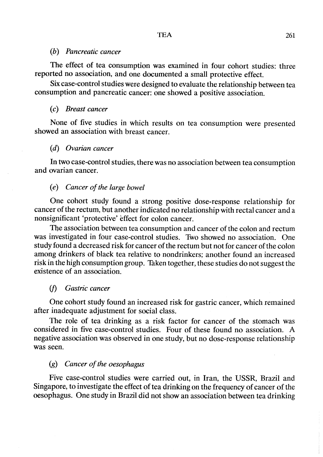#### (b) Pancreatic cancer

The effect of tea consumption was examined in four cohort studies: three reported no association, and one documented a small protective effect.

Six case-control studies were designed to evaluate the relationship between tea consumption and pancreatic cancer: one showed a positive association.

# (c) Breast cancer

None of five studies in which results on tea consumption were presented showed an association with breast cancer.

# (d) Ovarian cancer

ln two case-control studies, there was no association between tea consumption and ovarian cancer.

#### (e) Cancer of the large bowel

One cohort study found a strong positive dose-response relationship for cancer of the rectum, but another indicated no relationship with rectal cancer and a nonsignificant 'protective' effect for colon cancer.

The association between tea consumption and cancer of the colon and rectum was investigated in four case-control studies. Two showed no association. One study found a decreased risk for cancer of the rectum but not for cancer of the colon among drinkers of black tea relative to nondrinkers; another found an increased risk in the high consumption group. Taken together, these studies do not suggest the existence of an association.

# (f) Gastric cancer

One cohort study found an increased risk for gastric cancer, which remained after inadequate adjustment for social class.

The role of tea drinking as a risk factor for cancer of the stomach was considered in five case-control studies. Four of these found no association. A negative association was observed in one study, but no dose-response relationship was seen.

# (g) Cancer of the oesophagu

Five case-control studies were carried out, in Iran, the USSR, Brazil and Singapore, to investigate the effect of tea drinking on the frequency of cancer of the oesophagus. One study in Brazil did not show an association between tea drinking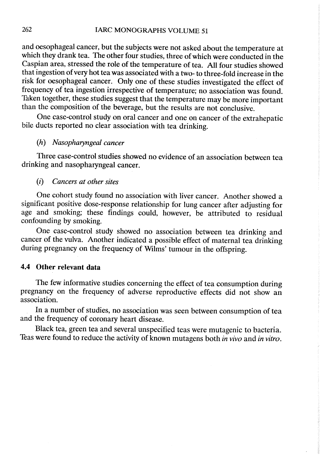and oesophageal cancer, but the subjects were not asked about the temperature at which they drank tea. The other four studies, three of which were conducted in the Caspian area, stressed the role of the temperature of tea. All four studies showed that ingestion of very hot tea was associated with a two- ta three-fold increase in the risk for oesophageal cancer. Only one of these studies investigated the effect of frequency of tea ingestion irrespective of temperature; no association was found. Taken together, these studies suggest that the temperature maybe more important than the composition of the beverage, but the results are not conclusive.

One case-control study on oral cancer and one on cancer of the extrahepatic bile ducts reported no clear association with tea drinking.

#### (h) Nasopharyngeal cancer

Three case-control studies showed no evidence of an association between tea drinking and nasopharyngeal cancer.

# (i) Cancers at other sites

One cohort study found no association with liver cancer. Another showed a significant positive dose-response relationship for lung cancer after adjusting for age and smoking; these findings could, however, be attributed to residual confounding by smoking.

One case-control study showed no association between tea drinking and cancer of the vulva. Another indicated a possible effect of maternal tea drinking during pregnancy on the frequency of Wilms' tumour in the offspring.

#### 4.4 Other relevant data

The few informative studies concerning the effect of tea consumption during pregnancy on the frequency of adverse reproductive effects did not show an association.

ln a number of studies, no association was seen between consumption of tea and the frequency of coronary heart disease.

Black tea, green tea and several unspecified teas were mutagenic to bacteria. Teas were found to reduce the activity of known mutagens both in vivo and in vitro.